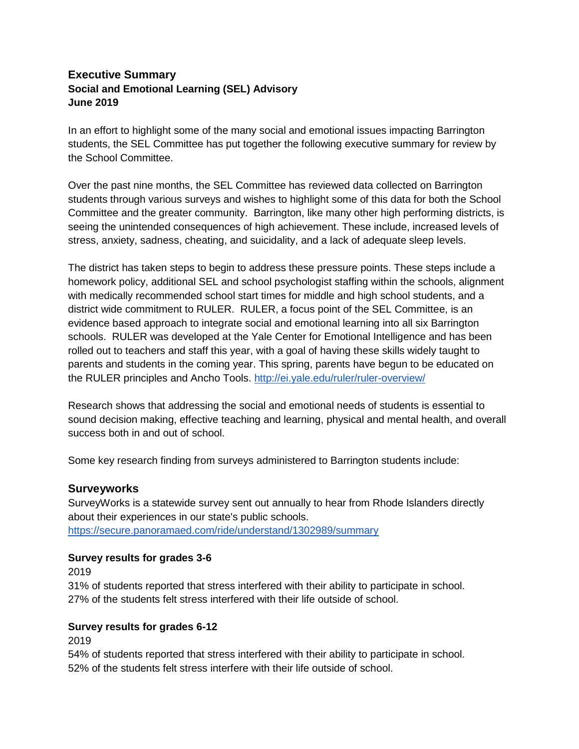## **Executive Summary Social and Emotional Learning (SEL) Advisory June 2019**

In an effort to highlight some of the many social and emotional issues impacting Barrington students, the SEL Committee has put together the following executive summary for review by the School Committee.

Over the past nine months, the SEL Committee has reviewed data collected on Barrington students through various surveys and wishes to highlight some of this data for both the School Committee and the greater community. Barrington, like many other high performing districts, is seeing the unintended consequences of high achievement. These include, increased levels of stress, anxiety, sadness, cheating, and suicidality, and a lack of adequate sleep levels.

The district has taken steps to begin to address these pressure points. These steps include a homework policy, additional SEL and school psychologist staffing within the schools, alignment with medically recommended school start times for middle and high school students, and a district wide commitment to RULER. RULER, a focus point of the SEL Committee, is an evidence based approach to integrate social and emotional learning into all six Barrington schools. RULER was developed at the Yale Center for Emotional Intelligence and has been rolled out to teachers and staff this year, with a goal of having these skills widely taught to parents and students in the coming year. This spring, parents have begun to be educated on the RULER principles and Ancho Tools.<http://ei.yale.edu/ruler/ruler-overview/>

Research shows that addressing the social and emotional needs of students is essential to sound decision making, effective teaching and learning, physical and mental health, and overall success both in and out of school.

Some key research finding from surveys administered to Barrington students include:

#### **Surveyworks**

SurveyWorks is a statewide survey sent out annually to hear from Rhode Islanders directly about their experiences in our state's public schools. <https://secure.panoramaed.com/ride/understand/1302989/summary>

#### **Survey results for grades 3-6**

2019

31% of students reported that stress interfered with their ability to participate in school. 27% of the students felt stress interfered with their life outside of school.

#### **Survey results for grades 6-12**

2019

54% of students reported that stress interfered with their ability to participate in school. 52% of the students felt stress interfere with their life outside of school.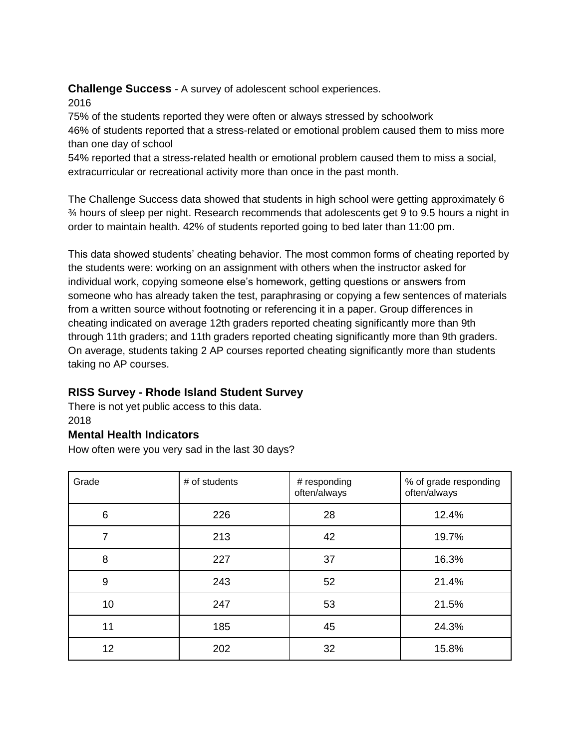## **Challenge Success** - A survey of adolescent school experiences.

### 2016

75% of the students reported they were often or always stressed by schoolwork 46% of students reported that a stress-related or emotional problem caused them to miss more than one day of school

54% reported that a stress-related health or emotional problem caused them to miss a social, extracurricular or recreational activity more than once in the past month.

The Challenge Success data showed that students in high school were getting approximately 6 ¾ hours of sleep per night. Research recommends that adolescents get 9 to 9.5 hours a night in order to maintain health. 42% of students reported going to bed later than 11:00 pm.

This data showed students' cheating behavior. The most common forms of cheating reported by the students were: working on an assignment with others when the instructor asked for individual work, copying someone else's homework, getting questions or answers from someone who has already taken the test, paraphrasing or copying a few sentences of materials from a written source without footnoting or referencing it in a paper. Group differences in cheating indicated on average 12th graders reported cheating significantly more than 9th through 11th graders; and 11th graders reported cheating significantly more than 9th graders. On average, students taking 2 AP courses reported cheating significantly more than students taking no AP courses.

# **RISS Survey - Rhode Island Student Survey**

There is not yet public access to this data. 2018

### **Mental Health Indicators**

How often were you very sad in the last 30 days?

| Grade | # of students | # responding<br>often/always | % of grade responding<br>often/always |  |
|-------|---------------|------------------------------|---------------------------------------|--|
| 6     | 226           | 28                           | 12.4%                                 |  |
| 7     | 213           | 42                           | 19.7%                                 |  |
| 8     | 227           | 37                           | 16.3%                                 |  |
| 9     | 243           | 52                           | 21.4%                                 |  |
| 10    | 247           | 53                           | 21.5%                                 |  |
| 11    | 185           | 45                           | 24.3%                                 |  |
| 12    | 202           | 32                           | 15.8%                                 |  |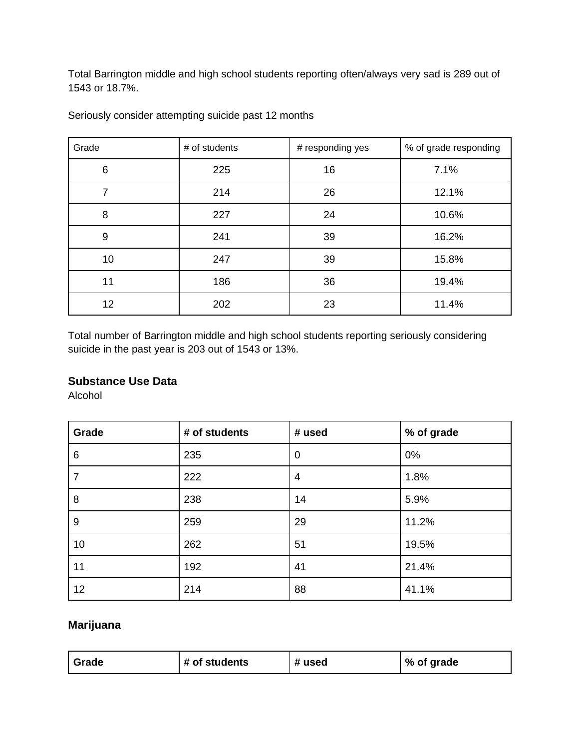Total Barrington middle and high school students reporting often/always very sad is 289 out of 1543 or 18.7%.

| Grade | # of students | # responding yes | % of grade responding |  |
|-------|---------------|------------------|-----------------------|--|
| 6     | 225           | 16               | 7.1%                  |  |
| 7     | 214           | 26               | 12.1%                 |  |
| 8     | 227           | 24               | 10.6%                 |  |
| 9     | 241           | 39               | 16.2%                 |  |
| 10    | 247           | 39               | 15.8%                 |  |
| 11    | 186           | 36               | 19.4%                 |  |
| 12    | 202           | 23               | 11.4%                 |  |

Seriously consider attempting suicide past 12 months

Total number of Barrington middle and high school students reporting seriously considering suicide in the past year is 203 out of 1543 or 13%.

### **Substance Use Data**

Alcohol

| Grade          | # of students | # used         | % of grade |
|----------------|---------------|----------------|------------|
| 6              | 235           | $\mathbf 0$    | 0%         |
| $\overline{7}$ | 222           | $\overline{4}$ | 1.8%       |
| 8              | 238           | 14             | 5.9%       |
| 9              | 259           | 29             | 11.2%      |
| 10             | 262           | 51             | 19.5%      |
| 11             | 192           | 41             | 21.4%      |
| 12             | 214           | 88             | 41.1%      |

# **Marijuana**

| # used<br># of students<br>% of grade<br>Grade |  |  |  |  |
|------------------------------------------------|--|--|--|--|
|------------------------------------------------|--|--|--|--|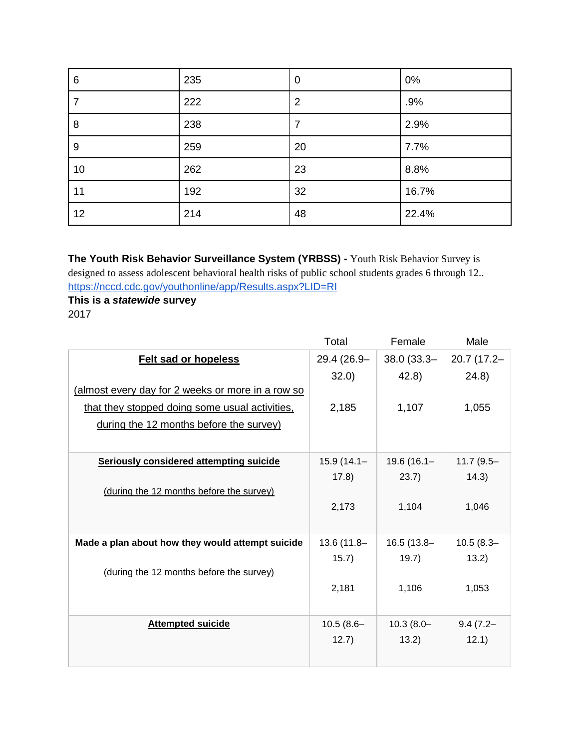| 6  | 235 | $\mathbf 0$    | 0%    |
|----|-----|----------------|-------|
| 7  | 222 | $\overline{2}$ | .9%   |
| 8  | 238 | $\overline{7}$ | 2.9%  |
| 9  | 259 | 20             | 7.7%  |
| 10 | 262 | 23             | 8.8%  |
| 11 | 192 | 32             | 16.7% |
| 12 | 214 | 48             | 22.4% |

**The Youth Risk Behavior Surveillance System (YRBSS) -** Youth Risk Behavior Survey is designed to assess adolescent behavioral health risks of public school students grades 6 through 12.. <https://nccd.cdc.gov/youthonline/app/Results.aspx?LID=RI>

**This is a** *statewide* **survey** 2017

|                                                   | Total         | Female        | Male         |
|---------------------------------------------------|---------------|---------------|--------------|
| <b>Felt sad or hopeless</b>                       | 29.4 (26.9-   | $38.0(33.3 -$ | 20.7 (17.2-  |
|                                                   | 32.0          | 42.8)         | (24.8)       |
| (almost every day for 2 weeks or more in a row so |               |               |              |
| that they stopped doing some usual activities,    | 2,185         | 1,107         | 1,055        |
| during the 12 months before the survey)           |               |               |              |
|                                                   |               |               |              |
| <b>Seriously considered attempting suicide</b>    | $15.9(14.1 -$ | 19.6 (16.1-   | $11.7(9.5 -$ |
|                                                   | (17.8)        | 23.7)         | 14.3)        |
| (during the 12 months before the survey)          |               |               |              |
|                                                   | 2,173         | 1,104         | 1,046        |
|                                                   |               |               |              |
| Made a plan about how they would attempt suicide  | 13.6 (11.8-   | $16.5(13.8 -$ | $10.5(8.3 -$ |
|                                                   | 15.7)         | 19.7)         | 13.2)        |
| (during the 12 months before the survey)          |               |               |              |
|                                                   | 2,181         | 1,106         | 1,053        |
|                                                   |               |               |              |
| <b>Attempted suicide</b>                          | $10.5(8.6 -$  | $10.3(8.0 -$  | $9.4(7.2 -$  |
|                                                   | 12.7)         | 13.2)         | 12.1)        |
|                                                   |               |               |              |